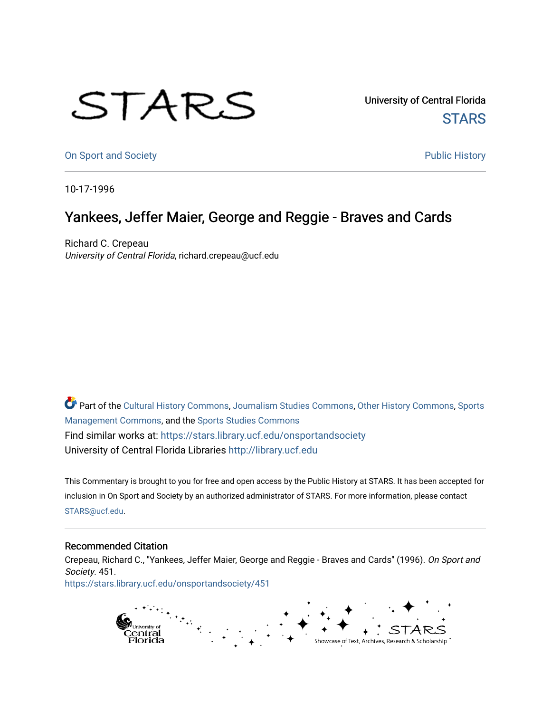## STARS

University of Central Florida **STARS** 

[On Sport and Society](https://stars.library.ucf.edu/onsportandsociety) **Public History** Public History

10-17-1996

## Yankees, Jeffer Maier, George and Reggie - Braves and Cards

Richard C. Crepeau University of Central Florida, richard.crepeau@ucf.edu

Part of the [Cultural History Commons](http://network.bepress.com/hgg/discipline/496?utm_source=stars.library.ucf.edu%2Fonsportandsociety%2F451&utm_medium=PDF&utm_campaign=PDFCoverPages), [Journalism Studies Commons,](http://network.bepress.com/hgg/discipline/333?utm_source=stars.library.ucf.edu%2Fonsportandsociety%2F451&utm_medium=PDF&utm_campaign=PDFCoverPages) [Other History Commons,](http://network.bepress.com/hgg/discipline/508?utm_source=stars.library.ucf.edu%2Fonsportandsociety%2F451&utm_medium=PDF&utm_campaign=PDFCoverPages) [Sports](http://network.bepress.com/hgg/discipline/1193?utm_source=stars.library.ucf.edu%2Fonsportandsociety%2F451&utm_medium=PDF&utm_campaign=PDFCoverPages) [Management Commons](http://network.bepress.com/hgg/discipline/1193?utm_source=stars.library.ucf.edu%2Fonsportandsociety%2F451&utm_medium=PDF&utm_campaign=PDFCoverPages), and the [Sports Studies Commons](http://network.bepress.com/hgg/discipline/1198?utm_source=stars.library.ucf.edu%2Fonsportandsociety%2F451&utm_medium=PDF&utm_campaign=PDFCoverPages) Find similar works at: <https://stars.library.ucf.edu/onsportandsociety> University of Central Florida Libraries [http://library.ucf.edu](http://library.ucf.edu/) 

This Commentary is brought to you for free and open access by the Public History at STARS. It has been accepted for inclusion in On Sport and Society by an authorized administrator of STARS. For more information, please contact [STARS@ucf.edu](mailto:STARS@ucf.edu).

## Recommended Citation

Crepeau, Richard C., "Yankees, Jeffer Maier, George and Reggie - Braves and Cards" (1996). On Sport and Society. 451.

[https://stars.library.ucf.edu/onsportandsociety/451](https://stars.library.ucf.edu/onsportandsociety/451?utm_source=stars.library.ucf.edu%2Fonsportandsociety%2F451&utm_medium=PDF&utm_campaign=PDFCoverPages)

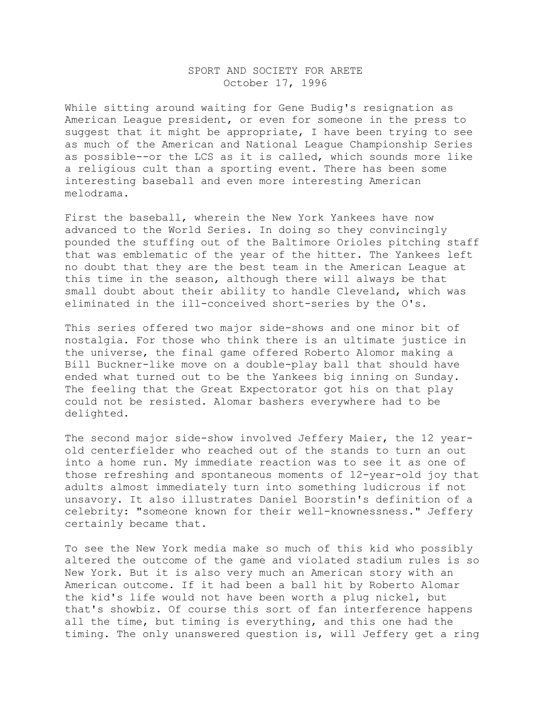## SPORT AND SOCIETY FOR ARETE October 17, 1996

While sitting around waiting for Gene Budig's resignation as American League president, or even for someone in the press to suggest that it might be appropriate, I have been trying to see as much of the American and National League Championship Series as possible--or the LCS as it is called, which sounds more like a religious cult than a sporting event. There has been some interesting baseball and even more interesting American melodrama.

First the baseball, wherein the New York Yankees have now advanced to the World Series. In doing so they convincingly pounded the stuffing out of the Baltimore Orioles pitching staff that was emblematic of the year of the hitter. The Yankees left no doubt that they are the best team in the American League at this time in the season, although there will always be that small doubt about their ability to handle Cleveland, which was eliminated in the ill-conceived short-series by the O's.

This series offered two major side-shows and one minor bit of nostalgia. For those who think there is an ultimate justice in the universe, the final game offered Roberto Alomor making a Bill Buckner-like move on a double-play ball that should have ended what turned out to be the Yankees big inning on Sunday. The feeling that the Great Expectorator got his on that play could not be resisted. Alomar bashers everywhere had to be delighted.

The second major side-show involved Jeffery Maier, the 12 yearold centerfielder who reached out of the stands to turn an out into a home run. My immediate reaction was to see it as one of those refreshing and spontaneous moments of 12-year-old joy that adults almost immediately turn into something ludicrous if not unsavory. It also illustrates Daniel Boorstin's definition of a celebrity: "someone known for their well-knownessness." Jeffery certainly became that.

To see the New York media make so much of this kid who possibly altered the outcome of the game and violated stadium rules is so New York. But it is also very much an American story with an American outcome. If it had been a ball hit by Roberto Alomar the kid's life would not have been worth a plug nickel, but that's showbiz. Of course this sort of fan interference happens all the time, but timing is everything, and this one had the timing. The only unanswered question is, will Jeffery get a ring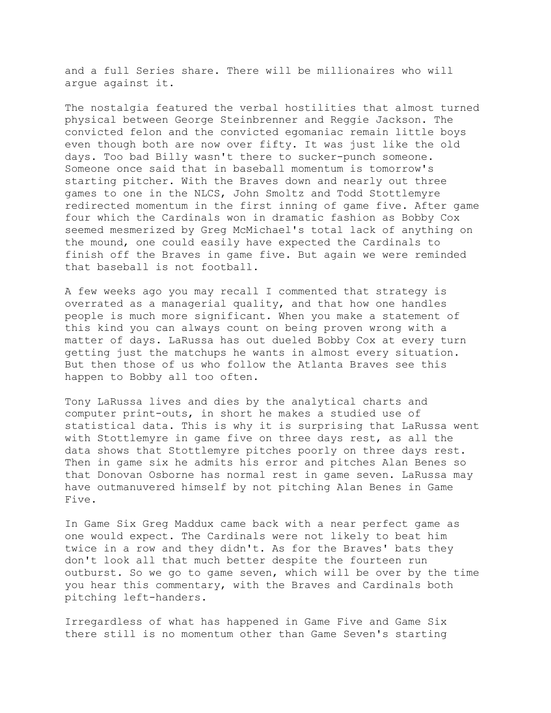and a full Series share. There will be millionaires who will argue against it.

The nostalgia featured the verbal hostilities that almost turned physical between George Steinbrenner and Reggie Jackson. The convicted felon and the convicted egomaniac remain little boys even though both are now over fifty. It was just like the old days. Too bad Billy wasn't there to sucker-punch someone. Someone once said that in baseball momentum is tomorrow's starting pitcher. With the Braves down and nearly out three games to one in the NLCS, John Smoltz and Todd Stottlemyre redirected momentum in the first inning of game five. After game four which the Cardinals won in dramatic fashion as Bobby Cox seemed mesmerized by Greg McMichael's total lack of anything on the mound, one could easily have expected the Cardinals to finish off the Braves in game five. But again we were reminded that baseball is not football.

A few weeks ago you may recall I commented that strategy is overrated as a managerial quality, and that how one handles people is much more significant. When you make a statement of this kind you can always count on being proven wrong with a matter of days. LaRussa has out dueled Bobby Cox at every turn getting just the matchups he wants in almost every situation. But then those of us who follow the Atlanta Braves see this happen to Bobby all too often.

Tony LaRussa lives and dies by the analytical charts and computer print-outs, in short he makes a studied use of statistical data. This is why it is surprising that LaRussa went with Stottlemyre in game five on three days rest, as all the data shows that Stottlemyre pitches poorly on three days rest. Then in game six he admits his error and pitches Alan Benes so that Donovan Osborne has normal rest in game seven. LaRussa may have outmanuvered himself by not pitching Alan Benes in Game Five.

In Game Six Greg Maddux came back with a near perfect game as one would expect. The Cardinals were not likely to beat him twice in a row and they didn't. As for the Braves' bats they don't look all that much better despite the fourteen run outburst. So we go to game seven, which will be over by the time you hear this commentary, with the Braves and Cardinals both pitching left-handers.

Irregardless of what has happened in Game Five and Game Six there still is no momentum other than Game Seven's starting